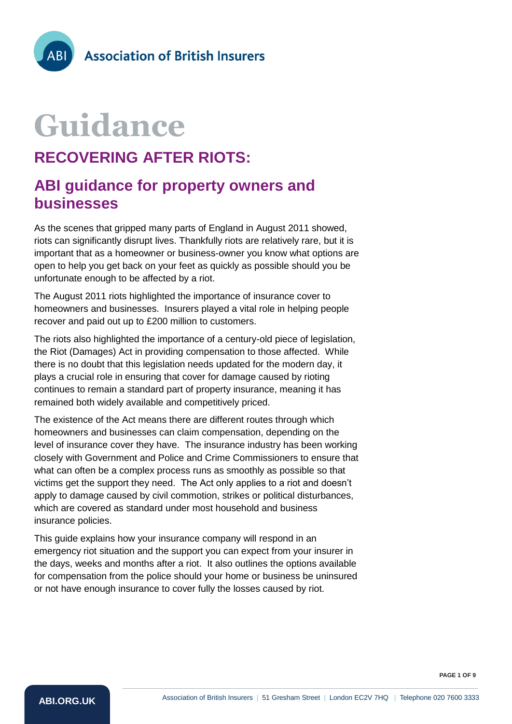# **Guidance**

## **RECOVERING AFTER RIOTS:**

### **ABI guidance for property owners and businesses**

As the scenes that gripped many parts of England in August 2011 showed, riots can significantly disrupt lives. Thankfully riots are relatively rare, but it is important that as a homeowner or business-owner you know what options are open to help you get back on your feet as quickly as possible should you be unfortunate enough to be affected by a riot.

The August 2011 riots highlighted the importance of insurance cover to homeowners and businesses. Insurers played a vital role in helping people recover and paid out up to £200 million to customers.

The riots also highlighted the importance of a century-old piece of legislation, the Riot (Damages) Act in providing compensation to those affected. While there is no doubt that this legislation needs updated for the modern day, it plays a crucial role in ensuring that cover for damage caused by rioting continues to remain a standard part of property insurance, meaning it has remained both widely available and competitively priced.

The existence of the Act means there are different routes through which homeowners and businesses can claim compensation, depending on the level of insurance cover they have. The insurance industry has been working closely with Government and Police and Crime Commissioners to ensure that what can often be a complex process runs as smoothly as possible so that victims get the support they need. The Act only applies to a riot and doesn't apply to damage caused by civil commotion, strikes or political disturbances, which are covered as standard under most household and business insurance policies.

This guide explains how your insurance company will respond in an emergency riot situation and the support you can expect from your insurer in the days, weeks and months after a riot. It also outlines the options available for compensation from the police should your home or business be uninsured or not have enough insurance to cover fully the losses caused by riot.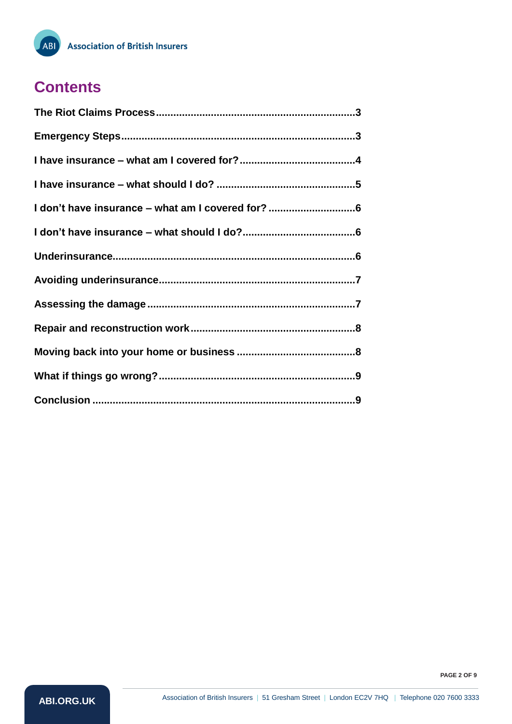## **Contents**

ABI<sup>)</sup>

| I don't have insurance - what am I covered for? 6 |
|---------------------------------------------------|
|                                                   |
|                                                   |
|                                                   |
|                                                   |
|                                                   |
|                                                   |
|                                                   |
|                                                   |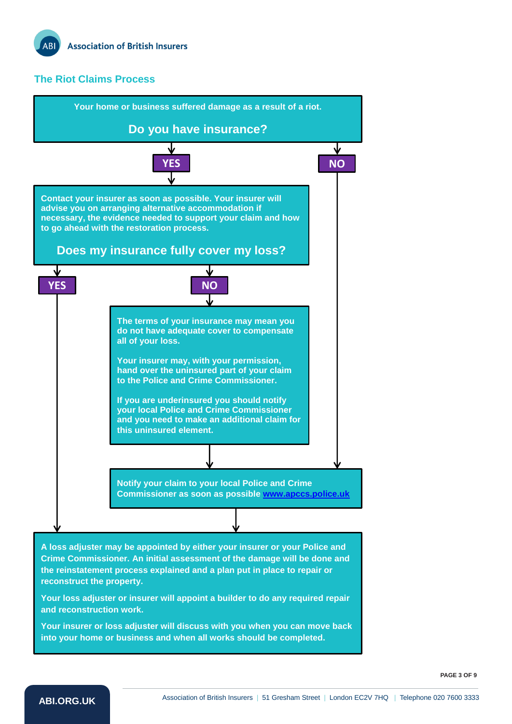#### <span id="page-2-0"></span>**The Riot Claims Process**

<span id="page-2-1"></span>

• **Your insurer or loss adjuster will discuss with you when you can move back into your home or business and when all works should be completed.** 

**PAGE 3 OF 9**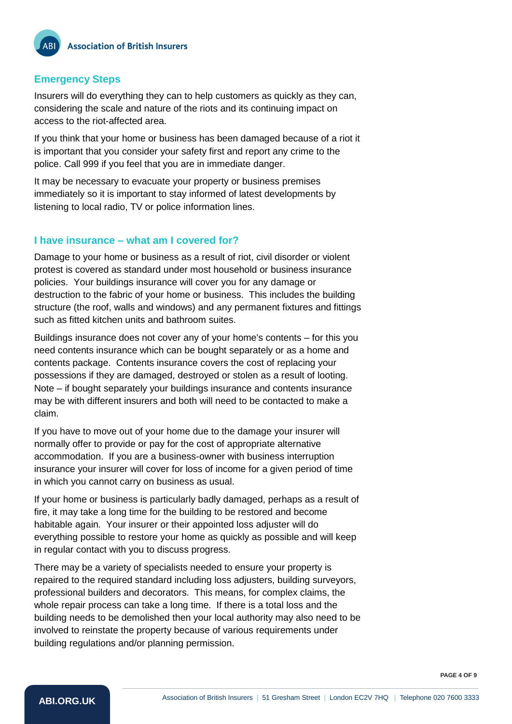#### **Emergency Steps**

Insurers will do everything they can to help customers as quickly as they can, considering the scale and nature of the riots and its continuing impact on access to the riot-affected area.

If you think that your home or business has been damaged because of a riot it is important that you consider your safety first and report any crime to the police. Call 999 if you feel that you are in immediate danger.

It may be necessary to evacuate your property or business premises immediately so it is important to stay informed of latest developments by listening to local radio, TV or police information lines.

#### <span id="page-3-0"></span>**I have insurance – what am I covered for?**

Damage to your home or business as a result of riot, civil disorder or violent protest is covered as standard under most household or business insurance policies. Your buildings insurance will cover you for any damage or destruction to the fabric of your home or business. This includes the building structure (the roof, walls and windows) and any permanent fixtures and fittings such as fitted kitchen units and bathroom suites.

Buildings insurance does not cover any of your home's contents – for this you need contents insurance which can be bought separately or as a home and contents package. Contents insurance covers the cost of replacing your possessions if they are damaged, destroyed or stolen as a result of looting. Note – if bought separately your buildings insurance and contents insurance may be with different insurers and both will need to be contacted to make a claim.

If you have to move out of your home due to the damage your insurer will normally offer to provide or pay for the cost of appropriate alternative accommodation. If you are a business-owner with business interruption insurance your insurer will cover for loss of income for a given period of time in which you cannot carry on business as usual.

If your home or business is particularly badly damaged, perhaps as a result of fire, it may take a long time for the building to be restored and become habitable again. Your insurer or their appointed loss adjuster will do everything possible to restore your home as quickly as possible and will keep in regular contact with you to discuss progress.

There may be a variety of specialists needed to ensure your property is repaired to the required standard including loss adjusters, building surveyors, professional builders and decorators. This means, for complex claims, the whole repair process can take a long time. If there is a total loss and the building needs to be demolished then your local authority may also need to be involved to reinstate the property because of various requirements under building regulations and/or planning permission.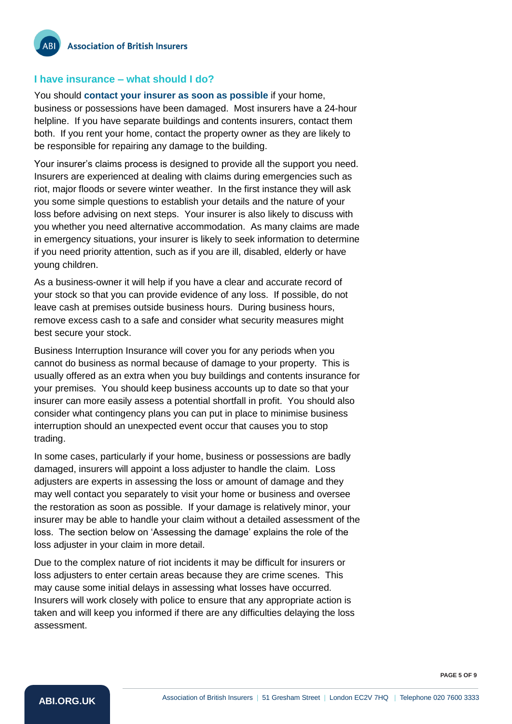#### <span id="page-4-0"></span>**I have insurance – what should I do?**

You should **contact your insurer as soon as possible** if your home, business or possessions have been damaged. Most insurers have a 24-hour helpline. If you have separate buildings and contents insurers, contact them both. If you rent your home, contact the property owner as they are likely to be responsible for repairing any damage to the building.

Your insurer's claims process is designed to provide all the support you need. Insurers are experienced at dealing with claims during emergencies such as riot, major floods or severe winter weather. In the first instance they will ask you some simple questions to establish your details and the nature of your loss before advising on next steps. Your insurer is also likely to discuss with you whether you need alternative accommodation. As many claims are made in emergency situations, your insurer is likely to seek information to determine if you need priority attention, such as if you are ill, disabled, elderly or have young children.

As a business-owner it will help if you have a clear and accurate record of your stock so that you can provide evidence of any loss. If possible, do not leave cash at premises outside business hours. During business hours, remove excess cash to a safe and consider what security measures might best secure your stock.

Business Interruption Insurance will cover you for any periods when you cannot do business as normal because of damage to your property. This is usually offered as an extra when you buy buildings and contents insurance for your premises. You should keep business accounts up to date so that your insurer can more easily assess a potential shortfall in profit. You should also consider what contingency plans you can put in place to minimise business interruption should an unexpected event occur that causes you to stop trading.

In some cases, particularly if your home, business or possessions are badly damaged, insurers will appoint a loss adjuster to handle the claim. Loss adjusters are experts in assessing the loss or amount of damage and they may well contact you separately to visit your home or business and oversee the restoration as soon as possible. If your damage is relatively minor, your insurer may be able to handle your claim without a detailed assessment of the loss. The section below on 'Assessing the damage' explains the role of the loss adjuster in your claim in more detail.

Due to the complex nature of riot incidents it may be difficult for insurers or loss adjusters to enter certain areas because they are crime scenes. This may cause some initial delays in assessing what losses have occurred. Insurers will work closely with police to ensure that any appropriate action is taken and will keep you informed if there are any difficulties delaying the loss assessment.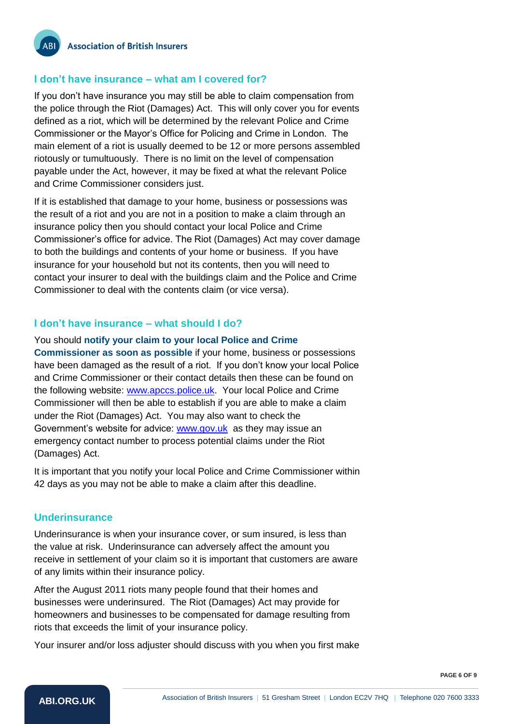#### <span id="page-5-0"></span>**I don't have insurance – what am I covered for?**

If you don't have insurance you may still be able to claim compensation from the police through the Riot (Damages) Act. This will only cover you for events defined as a riot, which will be determined by the relevant Police and Crime Commissioner or the Mayor's Office for Policing and Crime in London. The main element of a riot is usually deemed to be 12 or more persons assembled riotously or tumultuously. There is no limit on the level of compensation payable under the Act, however, it may be fixed at what the relevant Police and Crime Commissioner considers just.

If it is established that damage to your home, business or possessions was the result of a riot and you are not in a position to make a claim through an insurance policy then you should contact your local Police and Crime Commissioner's office for advice. The Riot (Damages) Act may cover damage to both the buildings and contents of your home or business. If you have insurance for your household but not its contents, then you will need to contact your insurer to deal with the buildings claim and the Police and Crime Commissioner to deal with the contents claim (or vice versa).

#### <span id="page-5-1"></span>**I don't have insurance – what should I do?**

You should **notify your claim to your local Police and Crime Commissioner as soon as possible** if your home, business or possessions have been damaged as the result of a riot. If you don't know your local Police and Crime Commissioner or their contact details then these can be found on the following website: [www.apccs.police.uk.](http://www.apccs.police.uk/) Your local Police and Crime Commissioner will then be able to establish if you are able to make a claim under the Riot (Damages) Act. You may also want to check the Government's website for advice: [www.gov.uk](http://www.gov.uk/) as they may issue an emergency contact number to process potential claims under the Riot (Damages) Act.

It is important that you notify your local Police and Crime Commissioner within 42 days as you may not be able to make a claim after this deadline.

#### <span id="page-5-2"></span>**Underinsurance**

Underinsurance is when your insurance cover, or sum insured, is less than the value at risk. Underinsurance can adversely affect the amount you receive in settlement of your claim so it is important that customers are aware of any limits within their insurance policy.

After the August 2011 riots many people found that their homes and businesses were underinsured. The Riot (Damages) Act may provide for homeowners and businesses to be compensated for damage resulting from riots that exceeds the limit of your insurance policy.

Your insurer and/or loss adjuster should discuss with you when you first make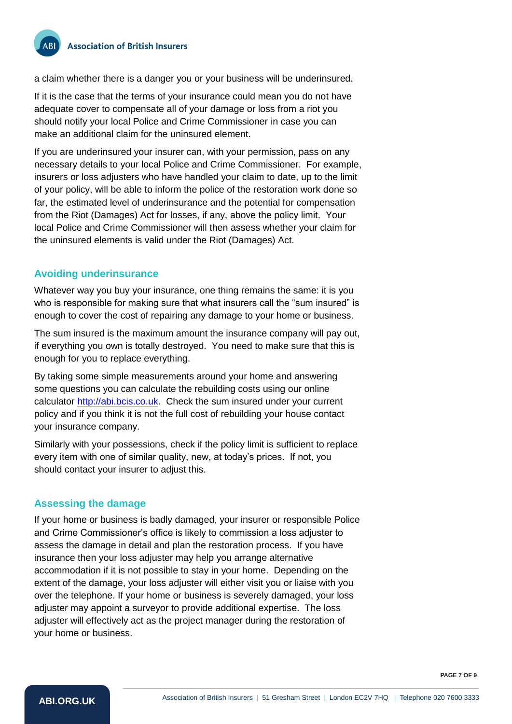a claim whether there is a danger you or your business will be underinsured.

If it is the case that the terms of your insurance could mean you do not have adequate cover to compensate all of your damage or loss from a riot you should notify your local Police and Crime Commissioner in case you can make an additional claim for the uninsured element.

If you are underinsured your insurer can, with your permission, pass on any necessary details to your local Police and Crime Commissioner. For example, insurers or loss adjusters who have handled your claim to date, up to the limit of your policy, will be able to inform the police of the restoration work done so far, the estimated level of underinsurance and the potential for compensation from the Riot (Damages) Act for losses, if any, above the policy limit. Your local Police and Crime Commissioner will then assess whether your claim for the uninsured elements is valid under the Riot (Damages) Act.

#### <span id="page-6-0"></span>**Avoiding underinsurance**

Whatever way you buy your insurance, one thing remains the same: it is you who is responsible for making sure that what insurers call the "sum insured" is enough to cover the cost of repairing any damage to your home or business.

The sum insured is the maximum amount the insurance company will pay out, if everything you own is totally destroyed. You need to make sure that this is enough for you to replace everything.

By taking some simple measurements around your home and answering some questions you can calculate the rebuilding costs using our online calculator [http://abi.bcis.co.uk.](http://abi.bcis.co.uk/) Check the sum insured under your current policy and if you think it is not the full cost of rebuilding your house contact your insurance company.

Similarly with your possessions, check if the policy limit is sufficient to replace every item with one of similar quality, new, at today's prices. If not, you should contact your insurer to adjust this.

#### <span id="page-6-1"></span>**Assessing the damage**

If your home or business is badly damaged, your insurer or responsible Police and Crime Commissioner's office is likely to commission a loss adjuster to assess the damage in detail and plan the restoration process. If you have insurance then your loss adjuster may help you arrange alternative accommodation if it is not possible to stay in your home. Depending on the extent of the damage, your loss adjuster will either visit you or liaise with you over the telephone. If your home or business is severely damaged, your loss adjuster may appoint a surveyor to provide additional expertise. The loss adjuster will effectively act as the project manager during the restoration of your home or business.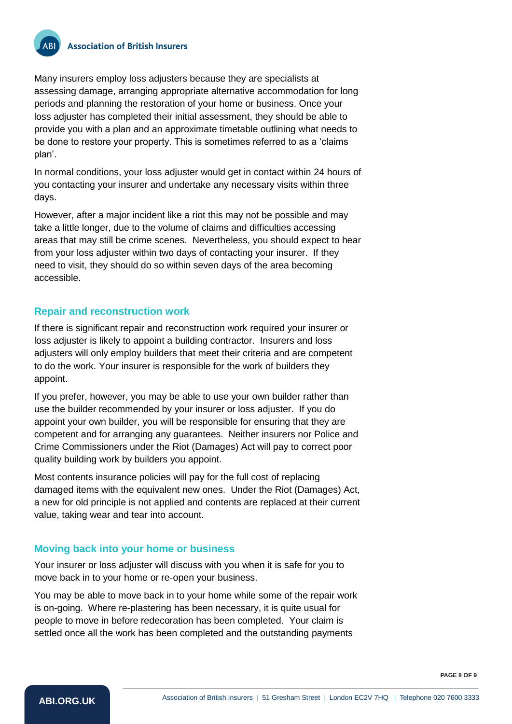Many insurers employ loss adjusters because they are specialists at assessing damage, arranging appropriate alternative accommodation for long periods and planning the restoration of your home or business. Once your loss adjuster has completed their initial assessment, they should be able to provide you with a plan and an approximate timetable outlining what needs to be done to restore your property. This is sometimes referred to as a 'claims plan'.

In normal conditions, your loss adjuster would get in contact within 24 hours of you contacting your insurer and undertake any necessary visits within three days.

However, after a major incident like a riot this may not be possible and may take a little longer, due to the volume of claims and difficulties accessing areas that may still be crime scenes. Nevertheless, you should expect to hear from your loss adjuster within two days of contacting your insurer. If they need to visit, they should do so within seven days of the area becoming accessible.

#### <span id="page-7-0"></span>**Repair and reconstruction work**

If there is significant repair and reconstruction work required your insurer or loss adjuster is likely to appoint a building contractor. Insurers and loss adjusters will only employ builders that meet their criteria and are competent to do the work. Your insurer is responsible for the work of builders they appoint.

If you prefer, however, you may be able to use your own builder rather than use the builder recommended by your insurer or loss adjuster. If you do appoint your own builder, you will be responsible for ensuring that they are competent and for arranging any guarantees. Neither insurers nor Police and Crime Commissioners under the Riot (Damages) Act will pay to correct poor quality building work by builders you appoint.

Most contents insurance policies will pay for the full cost of replacing damaged items with the equivalent new ones. Under the Riot (Damages) Act, a new for old principle is not applied and contents are replaced at their current value, taking wear and tear into account.

#### <span id="page-7-1"></span>**Moving back into your home or business**

Your insurer or loss adjuster will discuss with you when it is safe for you to move back in to your home or re-open your business.

You may be able to move back in to your home while some of the repair work is on-going. Where re-plastering has been necessary, it is quite usual for people to move in before redecoration has been completed. Your claim is settled once all the work has been completed and the outstanding payments